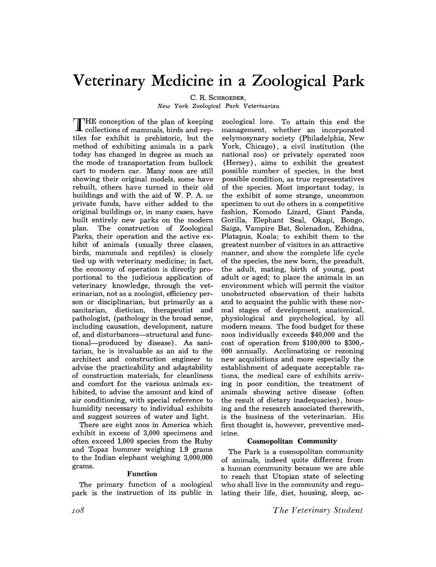# **Veterinary Medicine in a Zoological Park**

C. R. SCHROEDER,

*New York Zoological Park Veterinarian* 

THE conception of the plan of keeping collections of mammals, birds and reptiles for exhibit is prehistoric, but the method of exhibiting animals in a park today has changed in degree as much as the mode of transportation from bullock cart to modern car. Many zoos are still showing their original models, some have rebuilt, others have turned in their old buildings and with the aid of w. P. A. or private funds, have either added to the original buildings or, in many cases, have built entirely new parks on the modern plan. The construction of Zoological Parks, their operation and the active exhibit of animals (usually three classes, birds, mammals and reptiles) is closely tied up with veterinary medicine; in fact, the economy of operation is directly proportional to the judicious application of veterinary knowledge, through the veterinarian, not as a zoologist, efficiency person or disciplinarian, but primarily as a sanitarian, dietician, therapeutist and pathologist, (pathology in the broad sense, including causation, development, nature of, and disturbances-structural and functional-produced by disease). As sanitarian, he is invaluable as an aid to the architect and construction engineer to advise the practicability and adaptability of construction materials, for cleanliness and comfort for the various animals exhibited, to advise the amount and kind of air conditioning, with special reference to humidity necessary to individual exhibits and suggest sources of water and light.

There are eight zoos in America which exhibit in excess of 3,000 specimens and often exceed 1,000 species from the Ruby and Topaz hummer weighing 1.9 grams to the Indian elephant weighing 3,000,000 grams.

#### Function

The primary function of a zoological park is the instruction of its public in

zoological lore. To attain this end the management, whether an incorporated eelymosynary society (Philadelphia, New York, Chicago), a civil institution (the national zoo) or privately operated zoos (Hersey), aims to exhibit the greatest possible number of species, in the best possible condition, as true representatives of the species. Most important today, is the exhibit of some strange, uncommon specimen to out do others in a competitive fashion, Komodo Lizard, Giant Panda, Gorilla, Elephant Seal, Okapi, Bongo, Saiga, Vampire Bat, Solenadon, Echidna, Platapus, Koala; to exhibit them to the greatest number of visitors in an attractive manner, and show the complete life cycle of the species, the new born, the preadult, the adult, mating, birth of young, post adult or aged; to place the animals in an environment which will permit the visitor unobstructed observation of their habits and to acquaint the public with these normal stages of development, anatomical, physiological and psychological, by all modern means. The food budget for these zoos individually exceeds \$40,000 and the cost of operation from \$100,000 to \$300,- 000 annually. Acclimatizing or rezoning new acquisitions and more especially the establishment of adequate acceptable rations, the medical care of exhibits arriving in poor condition, the treatment of animals showing active disease (often the result of dietary inadequacies), housing and the research associated therewith, is the business of the veterinarian. His first thought is, however, preventive medicine.

#### Cosmopolitan Community

The Park is a cosmopolitan community of animals, indeed quite different from a human community because we are able to reach that Utopian state of selecting who shall live in the community and regulating their life, diet, housing, sleep, ac-

*The Veterinary Student*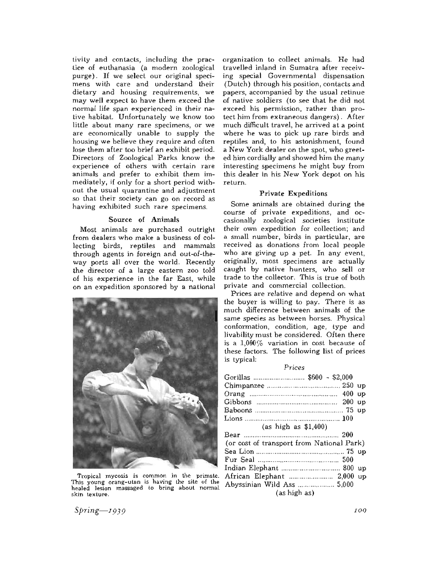tivity and contacts, including the practice of euthanasia (a modern zoological purge). If we select our original specimens with care and understand their dietary and housing requirements, we may well expect to have them exceed the normal life span experienced in their native habitat. Unfortunately we know too little about many rare specimens, or we are economically unable to supply the housing we believe they require and often lose them after too brief an exhibit period. Directors of Zoological Parks know the experience of others with certain rare animals and prefer to exhibit them immediately, if only for a short period without the usual quarantine and adjustment so that their society can go on record as having exhibited such rare specimens.

#### **Source of Animals**

Most animals are purchased outright from dealers who make a business of collecting birds, reptiles and mammals through agents in foreign and out-of-theway ports all over the world. Recently the director of a large eastern zoo told of his experience in the far East, while on an expedition sponsored by a national



Tropical mycosis is common in the primate. This young orang-utan is having the site of the healed lesion massaged to bring about normal skin texture.

organization to collect animals. He had travelled inland in Sumatra after receiving special Governmental dispensation (Dutch) through his position, contacts and papers, accompanied by the usual retinue of native soldiers (to see that he did not exceed his permission, rather than protect him from extraneous dangers). After much difficult travel, he arrived at a point where he was to pick up rare birds and reptiles and, to his astonishment, found a New York dealer on the spot, who greeted him cordially and showed him the many interesting specimens he might buy from this dealer in his New York depot on his return.

#### **Private Expeditions**

Some animals are obtained during the course of private expeditions, and occasionally zoological societies institute their own expedition for collection; and a small number, birds in particular, are received as donations from local people who are giving up a pet. **In** any event, originally, most specimens are actually caught by native hunters, who sell or trade to the collector. This is true of both private and commercial collection.

Prices are relative and depend on what the buyer is willing to pay. There is as much difference between animals of the same species as between horses. Physical conformation, condition, age, type and livability must be considered. Often there is a  $1,000\%$  variation in cost because of these factors. The following list of prices is typical:

#### *PTices*

| (as high as $$1,400$ )                    |  |  |
|-------------------------------------------|--|--|
|                                           |  |  |
| (or cost of transport from National Park) |  |  |
|                                           |  |  |
|                                           |  |  |
|                                           |  |  |
| African Elephant  2,000 up                |  |  |
| Abyssinian Wild Ass  5,000                |  |  |
| (as high as)                              |  |  |

*Spring-I939*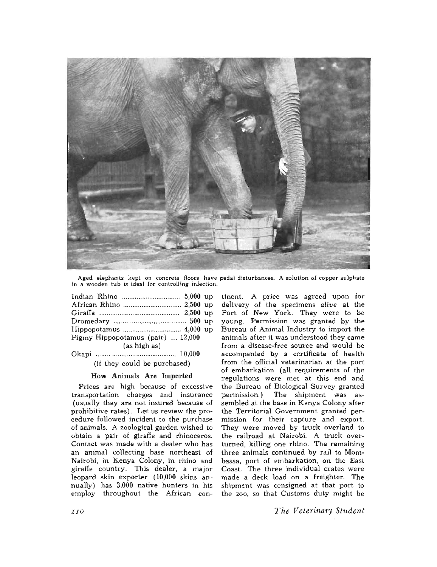

Aged elephants kept on concrete floors have pedal disturbances. A solution of copper sulphate in a wooden tub is ideal for controlling infection.

| Pigmy Hippopotamus (pair)  12,000 |  |
|-----------------------------------|--|
| (as high as)                      |  |
|                                   |  |

(if they could be purchased)

#### **How Animals Are Imported**

Prices are high because of excessive transportation charges and insurance (usually they are not insured because of prohibitive rates). Let us review the procedure followed incident to the purchase of animals. A zoological garden wished to obtain a pair of giraffe and rhinoceros. Contact was made with a dealer who has an animal collecting base northeast of Nairobi, in Kenya Colony, in rhino and giraffe country. This dealer, a major leopard skin exporter (10,000 skins annually) has 3,000 native hunters in his employ throughout the African con-

tinent. A price was agreed upon for delivery of the specimens *alive* at the Port of New York. They were to be young. Permission was granted by the Bureau of Animal Industry to import the animals after it was understood they came from a disease-free source and would be accompanied by a certificate of health from the official veterinarian at the port of embarkation (all requirements of the regulations were met at this end and the Bureau of Biological Survey granted permission.) The shipment was assembled at the base in Kenya Colony after the Territorial Government granted permission for their capture and export. They were moved by truck overland to the railroad at Nairobi. A truck overturned, killing one rhino. The remaining three animals continued by rail to Mombassa, port of embarkation, on the East Coast. The three individual crates were made a deck load on a freighter. The shipment was ccnsigned at that port to the zoo, so that Customs duty might be

*The Veterinary Student*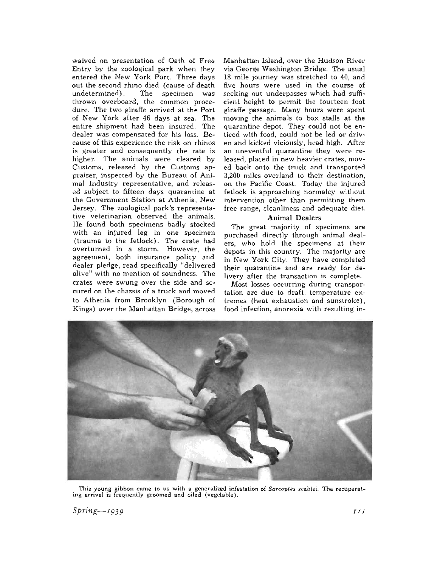waived on presentation of Oath of Free Entry by the zoological park when they entered the New York Port. Three days out the second rhino died (cause of death undetermined) . The specimen was thrown overboard, the common procedure. The two giraffe arrived at the Port of New York after 46 days at sea. The entire shipment had been insured. The dealer was compensated for his loss. Because of this experience the risk on rhinos is greater and consequently the rate is higher. The animals were cleared by Customs, released by the Customs appraiser, inspected by the Bureau of Animal Industry representative, and released subject to fifteen days quarantine at the Government Station at Athenia, New Jersey. The zoological park's representative veterinarian observed the animals. He found both specimens badly stocked with an injured leg in one specimen (trauma to the fetlock). The crate had overturned in a storm. However, the agreement, both insurance policy and dealer pledge, read specifically "delivered alive" with no mention of soundness. The crates were swung over the side and secured on the chassis of a truck and moved to Athenia from Brooklyn (Borough of Kings) over the Manhattan Bridge, across Manhattan Island, over the Hudson River via George Washington Bridge. The usual 18 mile journey was stretched to 40, and five hours were used in the course of seeking out underpasses which had sufficient height to permit the fourteen foot giraffe passage. Many hours were spent moving the animals to box stalls at the quarantine depot. They could not be enticed with food, could not be led or driven and kicked viciously, head high. After an uneventful quarantine they were released, placed in new heavier crates, moved back onto the truck and transported 3,200 miles overland to their destination, on the Pacific Coast. Today the injured fetlock is approaching normalcy without intervention other than permitting them free range, cleanliness and adequate diet.

#### **Animal Dealers**

The great majority of specimens are purchased directly through animal dealers, who hold the specimens at their depots in this country. The majority are in New York City. They have completed their quarantine and are ready for delivery after the transaction is complete.

Most losses occurring during transportation are due to draft, temperature extremes (heat exhaustion and sunstroke) , food infection, anorexia with resulting in-



This young gibbon came to us with a generalized infestation of *Sarcoptes scabiei.* The recuperating arrival is frequently groomed and oiled (vegetable).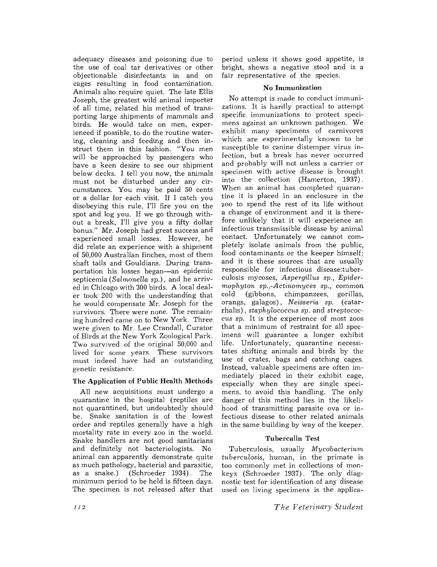adequacy diseases and poisoning due to the use of coal tar derivatives or other objectionable disinfectants in and on cages resulting in food contamination. Animals also require quiet. The late Ellis Joseph, the greatest wild animal importer of all *time,* related his method of transporting large shipments of mammals and birds. He would take on men, experienced if possible, to do the routine watering, cleaning and feeding and then instruct them in this fashion. "You men will be approached by passengers who have a keen desire to see our shipment below decks. I tell you now, the animals must not be disturbed under any circumstances. You may be paid 50 cents or a dollar for each visit. If I catch you disobeying this rule, I'll fire you on the spot and log you. If we go through without a break, I'll give you a fifty dollar bonus." Mr. Joseph had great success and experienced small losses. However, he did relate an experience with a shipment of 50,000 Australian finches, most of them shaft tails and Gouldians. During transportation his losses began-an epidemic septicemia *(Salmonella sp.),* and he arrived in Chicago with 300 birds. A local dealer took 200 with the understanding that he would compensate Mr. Joseph for the survivors. There were none. The remaining hundred came on to New York. Three were given to Mr. Lee Crandall, Curator of Birds at the New York Zoological Park. Two survived of the original 50,000 and lived for some years. These survivors must indeed have had an outstanding genetic resistance.

#### The Application of Public Health Methods

All new acquisitions must undergo a quarantine in the hospital (reptiles are not quarantined, but undoubtedly should be. Snake sanitation is of the lowest order and reptiles generally have a high mortality rate in every zoo in the world. Snake handlers are not good sanitarians and definitely not bacteriologists. No animal can apparently demonstrate quite as much pathology, bacterial and parasitic,<br>as a snake.) (Schroeder 1934). The  $(Schroeder 1934)$ . The minimum period to be held is fifteen days. The specimen is not released after that

period unless it shows good appetite, is bright, shows a negative stool and is a fair representative of the species.

#### **No Immunization**

No attempt is made to conduct immunizations. It is hardly practical to attempt specific immunizations to protect specimens against an unknown pathogen. We exhibit many specimens of carnivores which are experimentally known to be susceptible to canine distemper virus infection, but a break has never occurred and probably will not unless a carrier or specimen with active disease is brought into the collection (Hamerton, 1937) . When an animal has completed quarantine it is placed in an enclosure in the zoo to spend the rest of its life without a change of environment and it is therefore unlikely that it will experience an infectious transmissible disease by animal contact. Unfortunately we cannot completely isolate animals from the public, food contaminants or the keeper himself; and it is these sources that are usually responsible for infectious disease:tuberculosis mycoses, *Aspergillus sp., Epidermophyton sp.,-Actinomyces sp.,* common cold (gibbons, chimpanzees, gorillas, orangs, galagos), *Neisseria sp.* (catarrhalis), *staphylococcus sp.* and *streptococcus sp.* It is the experience of most zoos that a minimum of restraint for all specimens will guarantee a longer exhibit life. Unfortunately, quarantine necessitates shifting animals and birds by the use of crates, bags and catching cages. Instead, valuable specimens are often immediately placed in their exhibit cage, especially when they are single specimens, to avoid this handling. The only danger of this method lies in the likelihood of transmitting parasite ova or infectious disease to other related animals in the same building by way of the keeper.

## Tuberculin Test

Tuberculosis, usually *Mycobacteriwn tuberculosis,* human, in the primate is too commonly met in collections of monkeys (Schroeder 1937). The only diagnostic test for identification of any disease used on living specimens is the applica-

*T he Veterinary Student*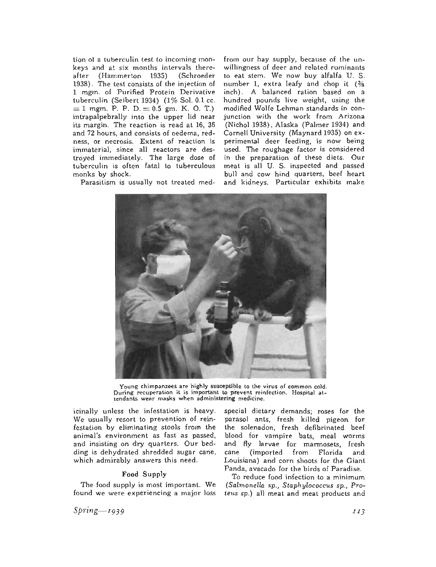tion ot a tuberculin test to incoming monkeys and at six months intervals thereafter (Hammerton 1935) (Schroeder 1938). The test consists of the injection of 1 mgm. of Purified Protein Derivative tuberculin (Seibert 1934) (1% Sol. 0.1 cc.  $= 1$  mgm. P. P. D.  $= 0.5$  gm. K. O. T.) intrapalpebrally into the upper lid near its margin. The reaction is read at 16, 36 and 72 hours, and consists of oedema, redness, or necrosis. Extent of reaction is immaterial, since all reactors are destroyed immediately. The large dose of tuberculin is often fatal to tuberculous monks by shock.

Parasitism is usually not treated med-

from our hay supply, because of the unwillingness of deer and related ruminants to eat stem. We now buy alfalfa U. S. number 1, extra leafy and chop it  $\frac{3}{8}$ inch). A balanced ration based on a hundred pounds live weight, using the modified Wolfe Lehman standards in conjunction with the work from Arizona (Nichol 1938), Alaska (Palmer 1934) and Cornell. University (Maynard 1935) on experimental deer feeding, is now being used. The roughage factor is considered in the preparation of these diets. Our meat is all U. S. inspected and passed bull and cow hind quarters, beef heart and kidneys. Particular exhibits make



Young chimpanzees are highly susceptible to the virus of common cold. During recuperation it is important to prevent reinfection. Hospital attendants wear masks when administering medicine.

icinally unless the infestation is heavy. We usually resort to prevention of reinfestation by eliminating stools from the animal's environment as fast as passed, and insisting on dry quarters. Our bedding is dehydrated shredded sugar cane, which admirably answers this need.

#### **Food Supply**

The food supply is most important. We found we were experiencing a major loss

special dietary demands; roses for the parasol ants, fresh killed pigeon for the solenadon, fresh defibrinated beef blood for vampire bats, meal worms and fly larvae for marmosets, fresh cane (imported from Florida and Louisiana) and corn shoots for the Giant Panda, avacado for the birds of Paradise.

To reduce food infection to a minimum *(Salmonella sp., Staphylococcus sp., Proteus sp.)* all meat and meat products and

*Spring-I939*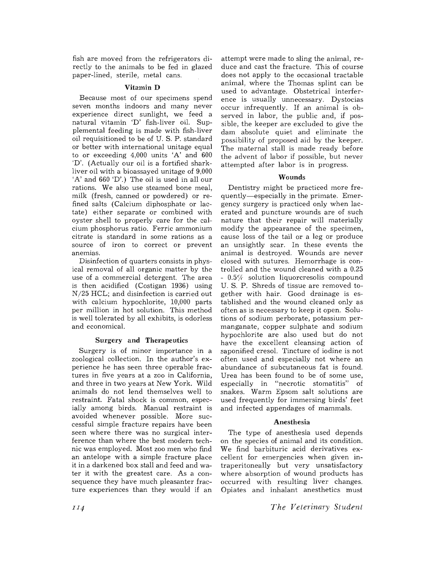fish are moved from the refrigerators directly to the animals to be fed in glazed paper-lined, sterile, metal cans.

#### Vitamin D

Because most of our specimens spend seven months indoors and many never experience direct sunlight, we feed a natural vitamin 'D' fish-liver oil. Supplemental feeding is made with fish-liver oil. requisitioned to be of U. S. P. standard or better with international unitage equal to or exceeding 4,000 units 'A' and 600 'D'. (Actually our oil is a fortified sharkliver oil with a bioassayed unitage of 9,000 'A' and 660 'D'.) The oil is used in all our rations. We also use steamed bone meal, milk (fresh, canned or powdered) or refined salts (Calcium diphosphate or lactate) either separate or combined with oyster shell to properly care for the calcium phosphorus ratio. Ferric ammonium citrate is standard in some rations as a source of iron to correct or prevent anemias.

Disinfection of quarters consists in physical removal of all organic matter by the use of a commercial detergent. The area is then acidified (Costigan 1936) using N/25 HCL; and disinfection is carried out with calcium hypochlorite, 10,000 parts per million in hot solution. This method is well tolerated by all exhibits, is odorless and economical.

#### Surgery and Therapeutics

Surgery is of minor importance in a zoological collection. In the author's experience he has seen three operable fractures in five years at a zoo in California, and three in two years at New York. Wild animals do not lend themselves well to restraint. Fatal shock is common, especially among birds. Manual restraint is avoided whenever possible. More successful simple fracture repairs have been seen where there was no surgical interference than where the best modern technic was employed. Most zoo men who find an antelope with a simple fracture place it in a darkened box stall and feed and water it with the greatest care. As a consequence they have much pleasanter fracture experiences than they would if an

attempt were made to sling the animal, reduce and cast the fracture. This of course does not apply to the occasional tractable animal, where the Thomas splint can be used to advantage. Obstetrical interference is usually unnecessary. Dystocias occur infrequently. If an animal is observed in labor, the public and, if possible, the keeper are excluded to give the dam absolute quiet and eliminate the possibility of proposed aid by the keeper. The maternal stall is made ready before the advent of labor if possible, but never attempted after labor is in progress.

#### Wounds

Dentistry might be practiced more frequently-especially in the primate. Emergency surgery is practiced only when lacerated and puncture wounds are of such nature that their repair will materially modify the appearance of the specimen, cause loss of the tail or a leg or produce an unsightly scar. In these events the animal is destroyed. Wounds are never closed with sutures. Hemorrhage is controlled and the wound cleaned with a 0.25  $-0.5\%$  solution liquorcresolis compound U. s. P. Shreds of tissue are removed together with hair. Good drainage is established and the wound cleaned only as often as is necessary to keep it open. Solutions of sodium perborate, potassium permanganate, copper sulphate and sodium hypochlorite are also used but do not have the excellent cleansing action of saponified cresol. Tincture of iodine is not often used and especially not where an abundance of subcutaneous fat is found. Urea has been found to be of some use,<br>especially in "necrotic stomatitis" of especially in "necrotic stomatitis" snakes. Warm Epsom salt solutions are used frequently for immersing birds' feet and infected appendages of mammals.

#### Anesthesia

The type of anesthesia used depends on the species of animal and its condition. We find barbituric acid derivatives excellent for emergencies when given intraperitoneally but very unsatisfactory where absorption of wound products has occurred with resulting liver changes. Opiates and inhalant anesthetics must

*T he Veterinary Student*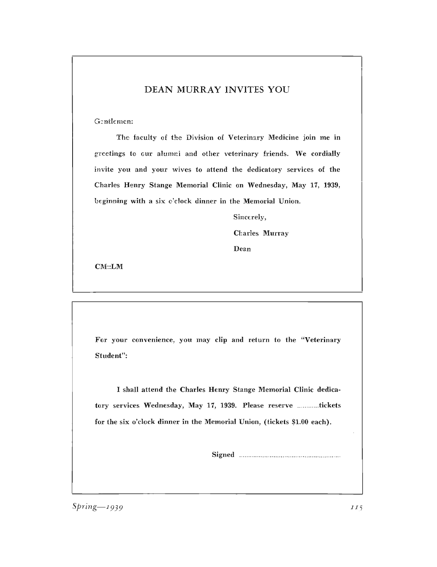# DEAN MURRAY INVITES YOU

Gentlemen:

The faculty of the Division of Veterinary Medicine join me in greetings to our alumni and other veterinary friends. We cordially invite you and your wives to attend the dedicatory services of the Charles Henry Stange Memorial Clinic on Wednesday, May 17, 1939, beginning with a six o'clock dinner in the Memorial Union.

Sincerely,

Charles Murray

Dean

CM::LM

For your convenience, you may clip and return to the "Veterinary Student":

I shall attend the Charles Henry Stange Memorial Clinic dedicatory services Wednesday, May 17, 1939. Please reserve ............tickets for the six o'clock dinner in the Memorial Union, (tickets \$1.00 each).

Signed ....................................................... .

*Spring-1939 II<sub>5</sub>*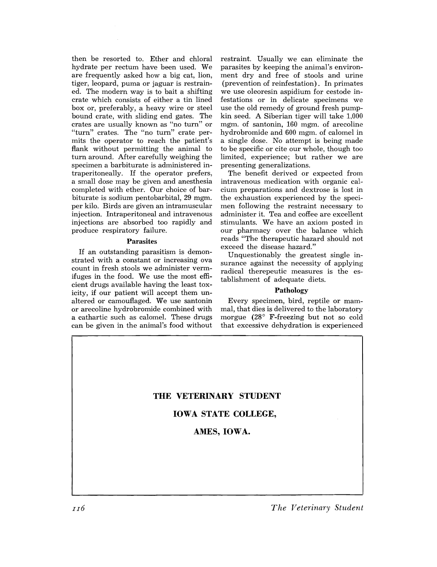then be resorted to. Ether and chloral hydrate per rectum have been used. We are frequently asked how a big cat, lion, tiger, leopard, puma or jaguar is restrained. The modern way is to bait a shifting crate which consists of either a tin lined box or, preferably, a heavy wire or steel bound crate, with sliding end gates. The crates are usually known as "no turn" or "turn" crates. The "no turn" crate permits the operator to reach the patient's flank without permitting the animal to turn around. After carefully weighing the specimen a barbiturate is administered intraperitoneally. If the operator prefers, a small dose may be given and anesthesia completed with ether. Our choice of barbiturate is sodium pentobarbital, 29 mgm. per kilo. Birds are given an intramuscular injection. Intraperitoneal and intravenous injections are absorbed too rapidly and produce respiratory failure.

#### Parasites

If an outstanding parasitism is demonstrated with a constant or increasing ova count in fresh stools we administer vermifuges in the food. We use the most efficient drugs available having the least toxicity, if our patient will accept them unaltered or camouflaged. We use santonin or arecoline hydrobromide combined with a cathartic such as calomel. These drugs can be given in the animal's food without

restraint. Usually we can eliminate the parasites by keeping the animal's environment dry and free of stools and urine (prevention of reinfestation). In primates we use oleoresin aspidium for cestode infestations or in delicate specimens we use the old remedy of ground fresh pumpkin seed. A Siberian tiger will take 1.000 mgm. of santonin, 160 mgm. of arecoline hydrobromide and 600 mgm. of calomel in a single dose. No attempt is being made to be specific or cite our whole, though too limited, experience; but rather we are presenting generalizations.

The benefit derived or expected from intravenous medication with organic calcium preparations and dextrose is lost in the exhaustion experienced by the specimen following the restraint necessary to administer it. Tea and coffee are excellent stimulants. We have an axiom posted in our pharmacy over the balance which reads "The therapeutic hazard should not exceed the disease hazard."

Unquestionably the greatest single insurance against the necessity of applying radical therepeutic measures is the establishment of adequate diets.

#### Pathology

Every specimen, bird, reptile or mammal, that dies is delivered to the laboratory morgue  $(28^{\circ}$  F-freezing but not so cold that excessive dehydration is experienced

## **THE VETERINARY STUDENT**

#### **IOWA STATE COLLEGE,**

#### AMES, **IOWA.**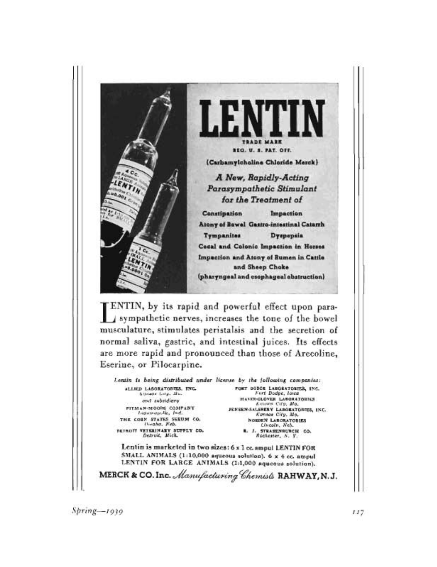

 $Spring - 1939$ 

 $117$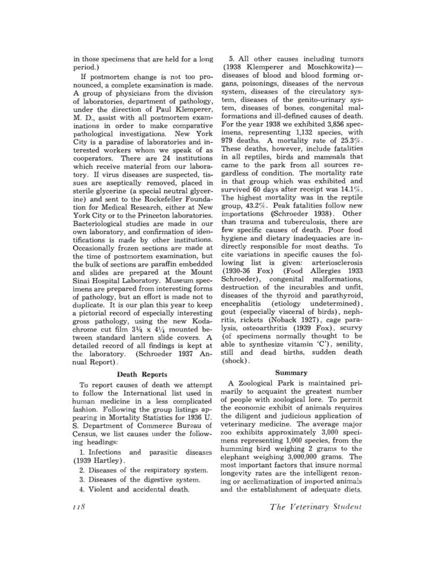in those specimens that are held for a long period.)

If postmortem change is not too pronounced, a complete examination is made. A group of physicians from the division of laboratories, department of pathology, under the direction of Paul Klemperer, M. D., assist with all postmortem examinations in order to make comparative pathological investigations. New York City is a paradise of laboratories and interested workers whom we speak of as cooperators. There are 24 institutions which receive material from our laboratory. If virus diseases are suspected, tissues are aseptically removed, placed in sterile glycerine (a special neutral glycerine) and sent to the Rockefeller Foundation for Medical Research, either at New York City or to the Princeton laboratories. Bacteriological studies are made in our own laboratory, and confirmation of identifications is made by other institutions. Occasionally frozen sections are made at the time of postmortem examination, but the bulk of sections are paraffin embedded and slides are prepared at the Mount Sinai Hospital Laboratory. Museum specimens are prepared from interesting forms of pathology, but an effort is made not to duplicate. It is our plan this year to keep a pictorial record of especially interesting gross pathology, using the new Kodachrome cut film  $3\frac{1}{4} \times 4\frac{1}{4}$  mounted between standard lantern slide covers. A detailed record of all findings is kept at<br>the laboratory. (Schroeder 1937 An-(Schroeder 1937 Annual Report).

#### **Death** Reports

To report causes of death we attempt to follow the International list used in human medicine in a less complicated fashion. Following the group listings appearing in Mortality Statistics for 1936 U. S. Department of Commerce Bureau of Census, we list causes under the following headings:

1. Infections and parasitic diseases (1939 Hartley).

- 2. Diseases of the respiratory system.
- 3. Diseases of the digestive system.
- 4. Violent and accidental death.

5. All other causes including tumors (1938 Klemperer and Moschkowitz)diseases of blood and blood forming organs, poisonings, diseases of the nervous system, diseases of the circulatory system, diseases of the genito-urinary system, diseases of bones, congenital malformations and ill-defined causes of death. For the year 1938 we exhibited 3,856 specimens, representing 1,132 species, with 979 deaths. A mortality rate of 25.3%. These deaths, however, include fatalities in all reptiles, birds and mammals that came to the park from all sources regardless of condition. The mortality rate in that group which was exhibited and survived 60 days after receipt was 14.1%. The highest mortality was in the reptile group, *43.27c.* Peak fatalities follow new importations (Schroeder 1938). Other than trauma and tuberculosis, there are few specific causes of death. Poor food hygiene and dietary inadequacies are indirectly responsible for most deaths. To cite variations in specific causes the following list is given: arteriosclerosis<br>(1930-36 Fox) (Food Allergies 1933) (Food Allergies 1933) Schroeder), congenital malformations, destruction of the incurables and unfit, diseases of the thyroid and parathyroid,<br>encephalitis (etiology undetermined). (etiology undetermined). gout (especially visceral of birds), nephritis, rickets (Noback 1927), cage paralysis, osteoarthritis (1939 Fox), scurvy (of specimens normally thought to be able to synthesize vitamin 'C'), senility, still and dead births, sudden death (shock) .

#### **Summary**

A Zoological Park is maintained primarily to acquaint the greatest number of people with zoological lore. To permit the economic exhibit of animals requires the diligent and judicious application of veterinary medicine. The average major zoo exhibits approximately 3,000 specimens representing 1,000 species, from the humming bird weighing 2 grams to the elephant weighing 3,000,000 grams. The most important factors that insure normal longevity rates are the intelligent rezoning or acclimatization of imported animals and the establishment of adequate diets.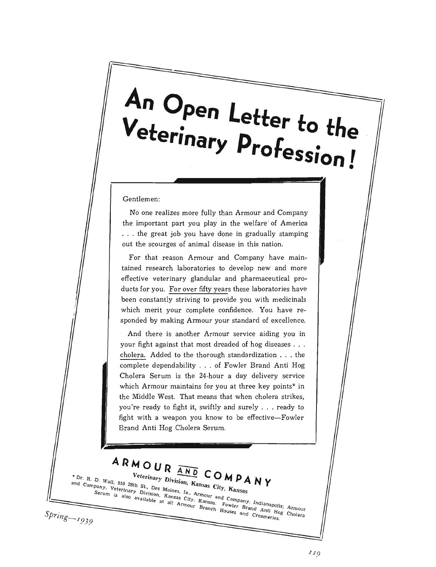# An Open Letter to the<br>Veterinary Profession!

Gentlemen:

No one realizes more fully than Armour and Company the important part you play in the welfare of America ... the great job you have done in gradually stamping out the scourges of animal disease in this nation.

For that reason Armour and Company have maintained research laboratories to develop new and more effective veterinary glandular and pharmaceutical products for you. For over fifty years these laboratories have been constantly striving to provide you with medicinals which merit your complete confidence. You have responded by making Armour your standard of excellence.

And there is another Armour service aiding you in your fight against that most dreaded of hog diseases . . . cholera. Added to the thorough standardization . . . the complete dependability . . . of Fowler Brand Anti Hog Cholera Serum is the 24-hour a day delivery service which Armour maintains for you at three key points\* in the Middle West. That means that when cholera strikes, you're ready to fight it, swiftly and surely . . . ready to fight with a weapon you know to be effective-Fowler Brand Anti Hog Cholera Serum.

ARMOUR AND COMPANY \* Dr. R. D. Wall, 910 28th St., Des Moines, Ia., Armour and Company, Indianapolis; Armour Veterinary Division, Kansas City, Kansas " Dr. R. D. Wall, 910 25th St., Des moines, ia., Armour and Company, Indianapolis; Armour Company, Channel Company, Channel Company, Indianapolis; Armour Company, Indianapolis; Armour Brand Anti Hogy Cholera pany, vetermary Division, Agnago City, Agnago. Cowier Digital Ann is also available at all Armour Branch Houses and Creameries.  $Spring - 1939$